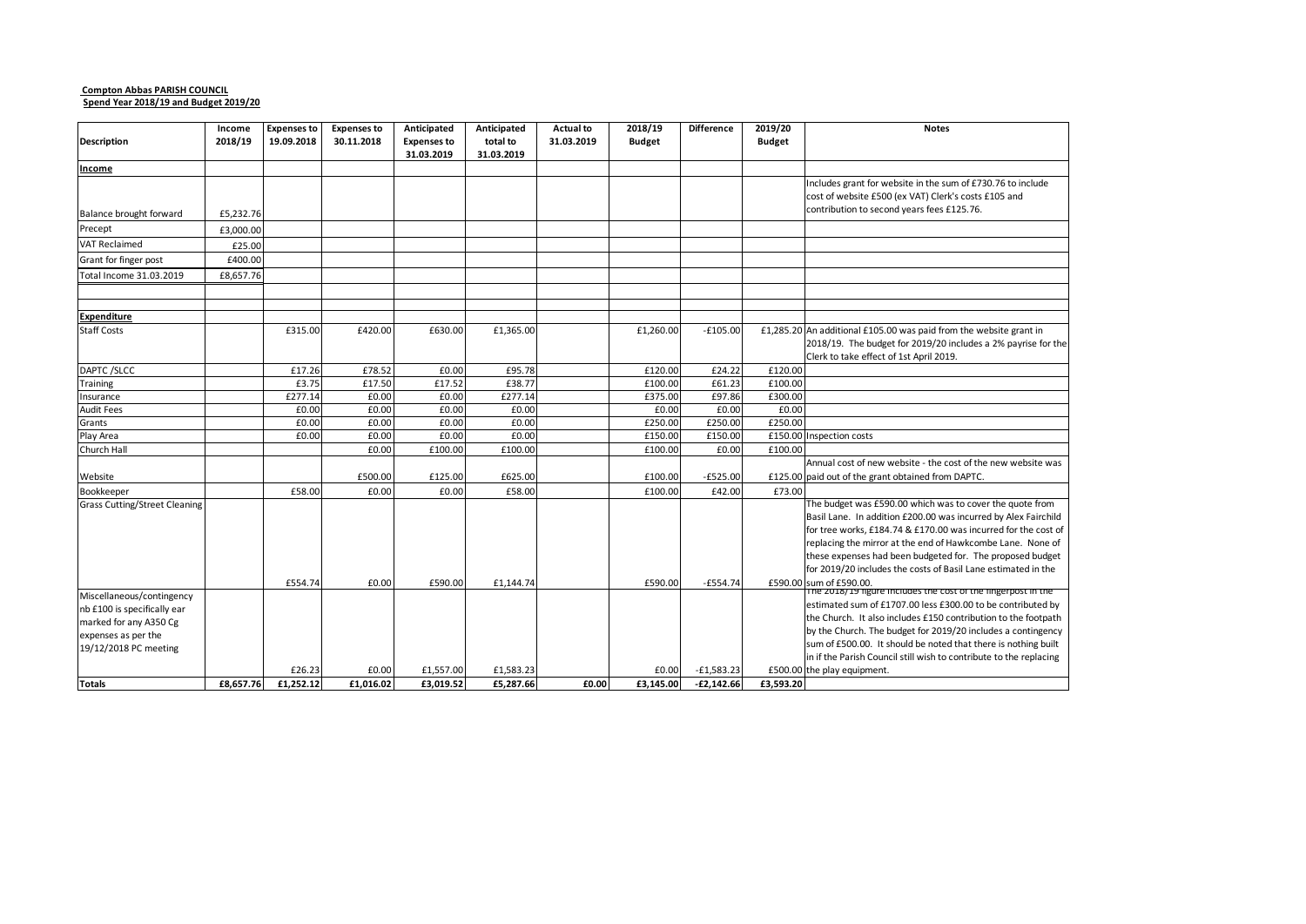#### **Compton Abbas PARISH COUNCIL Spend Year 2018/19 and Budget 2019/20**

|                                      | Income    | <b>Expenses to</b> | <b>Expenses to</b> | Anticipated        | Anticipated | <b>Actual to</b> | 2018/19       | <b>Difference</b> | 2019/20<br><b>Notes</b>                                            |
|--------------------------------------|-----------|--------------------|--------------------|--------------------|-------------|------------------|---------------|-------------------|--------------------------------------------------------------------|
| <b>Description</b>                   | 2018/19   | 19.09.2018         | 30.11.2018         | <b>Expenses to</b> | total to    | 31.03.2019       | <b>Budget</b> |                   | <b>Budget</b>                                                      |
| Income                               |           |                    |                    | 31.03.2019         | 31.03.2019  |                  |               |                   |                                                                    |
|                                      |           |                    |                    |                    |             |                  |               |                   | Includes grant for website in the sum of £730.76 to include        |
|                                      |           |                    |                    |                    |             |                  |               |                   | cost of website £500 (ex VAT) Clerk's costs £105 and               |
| Balance brought forward              | £5,232.76 |                    |                    |                    |             |                  |               |                   | contribution to second years fees £125.76.                         |
| Precept                              | £3,000.00 |                    |                    |                    |             |                  |               |                   |                                                                    |
| <b>VAT Reclaimed</b>                 | £25.00    |                    |                    |                    |             |                  |               |                   |                                                                    |
| Grant for finger post                | £400.00   |                    |                    |                    |             |                  |               |                   |                                                                    |
| Total Income 31.03.2019              | £8,657.76 |                    |                    |                    |             |                  |               |                   |                                                                    |
|                                      |           |                    |                    |                    |             |                  |               |                   |                                                                    |
| <b>Expenditure</b>                   |           |                    |                    |                    |             |                  |               |                   |                                                                    |
| <b>Staff Costs</b>                   |           | £315.00            | £420.00            | £630.00            | £1,365.00   |                  | £1,260.00     | $-£105.00$        | £1,285.20 An additional £105.00 was paid from the website grant in |
|                                      |           |                    |                    |                    |             |                  |               |                   | 2018/19. The budget for 2019/20 includes a 2% payrise for the      |
|                                      |           |                    |                    |                    |             |                  |               |                   | Clerk to take effect of 1st April 2019.                            |
| DAPTC /SLCC                          |           | £17.26             | £78.52             | £0.00              | £95.78      |                  | £120.00       | £24.22            | £120.00                                                            |
| Training                             |           | £3.75              | £17.50             | £17.52             | £38.77      |                  | £100.00       | £61.23            | £100.00                                                            |
| Insurance                            |           | £277.14            | £0.00              | £0.00              | £277.14     |                  | £375.00       | £97.86            | £300.00                                                            |
| <b>Audit Fees</b>                    |           | £0.00              | £0.00              | £0.00              | £0.00       |                  | £0.00         | £0.00             | £0.00                                                              |
| Grants                               |           | £0.00              | £0.00              | £0.00              | £0.00       |                  | £250.00       | £250.00           | £250.00                                                            |
| Play Area                            |           | £0.00              | £0.00              | £0.00              | £0.00       |                  | £150.00       | £150.00           | £150.00 Inspection costs                                           |
| Church Hall                          |           |                    | £0.00              | £100.00            | £100.00     |                  | £100.00       | £0.00             | £100.00                                                            |
|                                      |           |                    |                    |                    |             |                  |               |                   | Annual cost of new website - the cost of the new website was       |
| Website                              |           |                    | £500.00            | £125.00            | £625.00     |                  | £100.00       | $-£525.00$        | £125.00 paid out of the grant obtained from DAPTC.                 |
| Bookkeeper                           |           | £58.00             | £0.00              | £0.00              | £58.00      |                  | £100.00       | £42.00            | £73.00                                                             |
| <b>Grass Cutting/Street Cleaning</b> |           |                    |                    |                    |             |                  |               |                   | The budget was £590.00 which was to cover the quote from           |
|                                      |           |                    |                    |                    |             |                  |               |                   | Basil Lane. In addition £200.00 was incurred by Alex Fairchild     |
|                                      |           |                    |                    |                    |             |                  |               |                   | for tree works, £184.74 & £170.00 was incurred for the cost of     |
|                                      |           |                    |                    |                    |             |                  |               |                   | replacing the mirror at the end of Hawkcombe Lane. None of         |
|                                      |           |                    |                    |                    |             |                  |               |                   | these expenses had been budgeted for. The proposed budget          |
|                                      |           |                    |                    |                    |             |                  |               |                   | for 2019/20 includes the costs of Basil Lane estimated in the      |
|                                      |           | £554.74            | £0.00              | £590.00            | £1.144.74   |                  | £590.00       | $-£554.74$        | £590.00 sum of £590.00.                                            |
| Miscellaneous/contingency            |           |                    |                    |                    |             |                  |               |                   | The 2018/19 figure Includes the cost of the fingerpost in the      |
| nb £100 is specifically ear          |           |                    |                    |                    |             |                  |               |                   | estimated sum of £1707.00 less £300.00 to be contributed by        |
| marked for any A350 Cg               |           |                    |                    |                    |             |                  |               |                   | the Church. It also includes £150 contribution to the footpath     |
| expenses as per the                  |           |                    |                    |                    |             |                  |               |                   | by the Church. The budget for 2019/20 includes a contingency       |
| 19/12/2018 PC meeting                |           |                    |                    |                    |             |                  |               |                   | sum of £500.00. It should be noted that there is nothing built     |
|                                      |           |                    |                    |                    |             |                  |               |                   | in if the Parish Council still wish to contribute to the replacing |
|                                      |           | £26.23             | £0.00              | £1,557.00          | £1,583.23   |                  | £0.00         | $-£1,583.23$      | £500.00 the play equipment.                                        |
| Totals                               | £8.657.76 | £1,252.12          | £1.016.02          | £3.019.52          | £5,287.66   | £0.00            | £3,145.00     | $-£2,142.66$      | £3,593.20                                                          |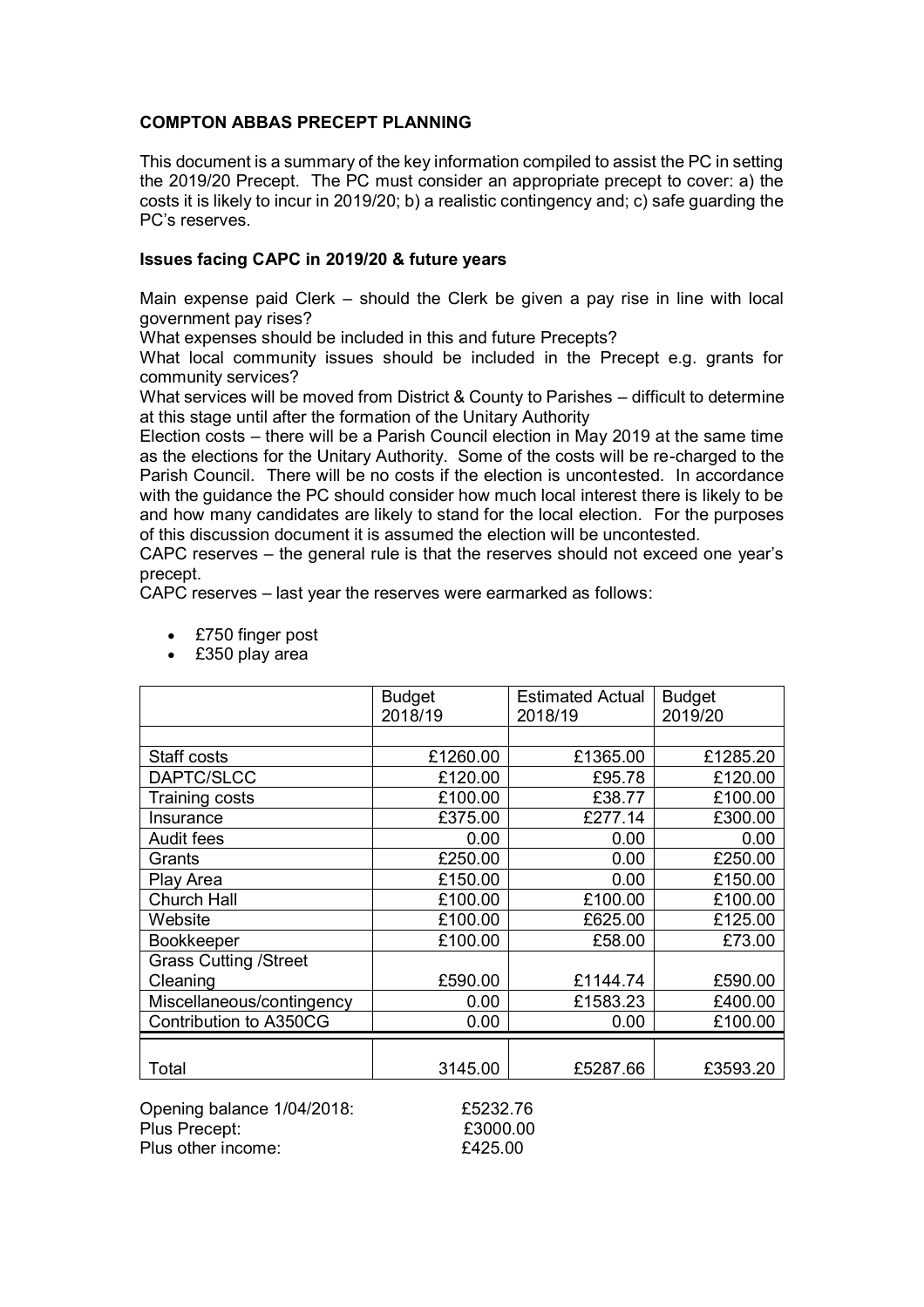## **COMPTON ABBAS PRECEPT PLANNING**

This document is a summary of the key information compiled to assist the PC in setting the 2019/20 Precept. The PC must consider an appropriate precept to cover: a) the costs it is likely to incur in 2019/20; b) a realistic contingency and; c) safe guarding the PC's reserves.

## **Issues facing CAPC in 2019/20 & future years**

Main expense paid Clerk – should the Clerk be given a pay rise in line with local government pay rises?

What expenses should be included in this and future Precepts?

What local community issues should be included in the Precept e.g. grants for community services?

What services will be moved from District & County to Parishes – difficult to determine at this stage until after the formation of the Unitary Authority

Election costs – there will be a Parish Council election in May 2019 at the same time as the elections for the Unitary Authority. Some of the costs will be re-charged to the Parish Council. There will be no costs if the election is uncontested. In accordance with the guidance the PC should consider how much local interest there is likely to be and how many candidates are likely to stand for the local election. For the purposes of this discussion document it is assumed the election will be uncontested.

CAPC reserves – the general rule is that the reserves should not exceed one year's precept.

CAPC reserves – last year the reserves were earmarked as follows:

- £750 finger post
- £350 play area

|                              | <b>Budget</b> | <b>Estimated Actual</b> | <b>Budget</b> |
|------------------------------|---------------|-------------------------|---------------|
|                              | 2018/19       | 2018/19                 | 2019/20       |
|                              |               |                         |               |
| Staff costs                  | £1260.00      | £1365.00                | £1285.20      |
| DAPTC/SLCC                   | £120.00       | £95.78                  | £120.00       |
| Training costs               | £100.00       | £38.77                  | £100.00       |
| Insurance                    | £375.00       | £277.14                 | £300.00       |
| Audit fees                   | 0.00          | 0.00                    | 0.00          |
| Grants                       | £250.00       | 0.00                    | £250.00       |
| Play Area                    | £150.00       | 0.00                    | £150.00       |
| <b>Church Hall</b>           | £100.00       | £100.00                 | £100.00       |
| Website                      | £100.00       | £625.00                 | £125.00       |
| Bookkeeper                   | £100.00       | £58.00                  | £73.00        |
| <b>Grass Cutting /Street</b> |               |                         |               |
| Cleaning                     | £590.00       | £1144.74                | £590.00       |
| Miscellaneous/contingency    | 0.00          | £1583.23                | £400.00       |
| Contribution to A350CG       | 0.00          | 0.00                    | £100.00       |
|                              |               |                         |               |
| Total                        | 3145.00       | £5287.66                | £3593.20      |

Opening balance 1/04/2018: £5232.76 Plus Precept:  $£3000.00$ Plus other income:  $£425.00$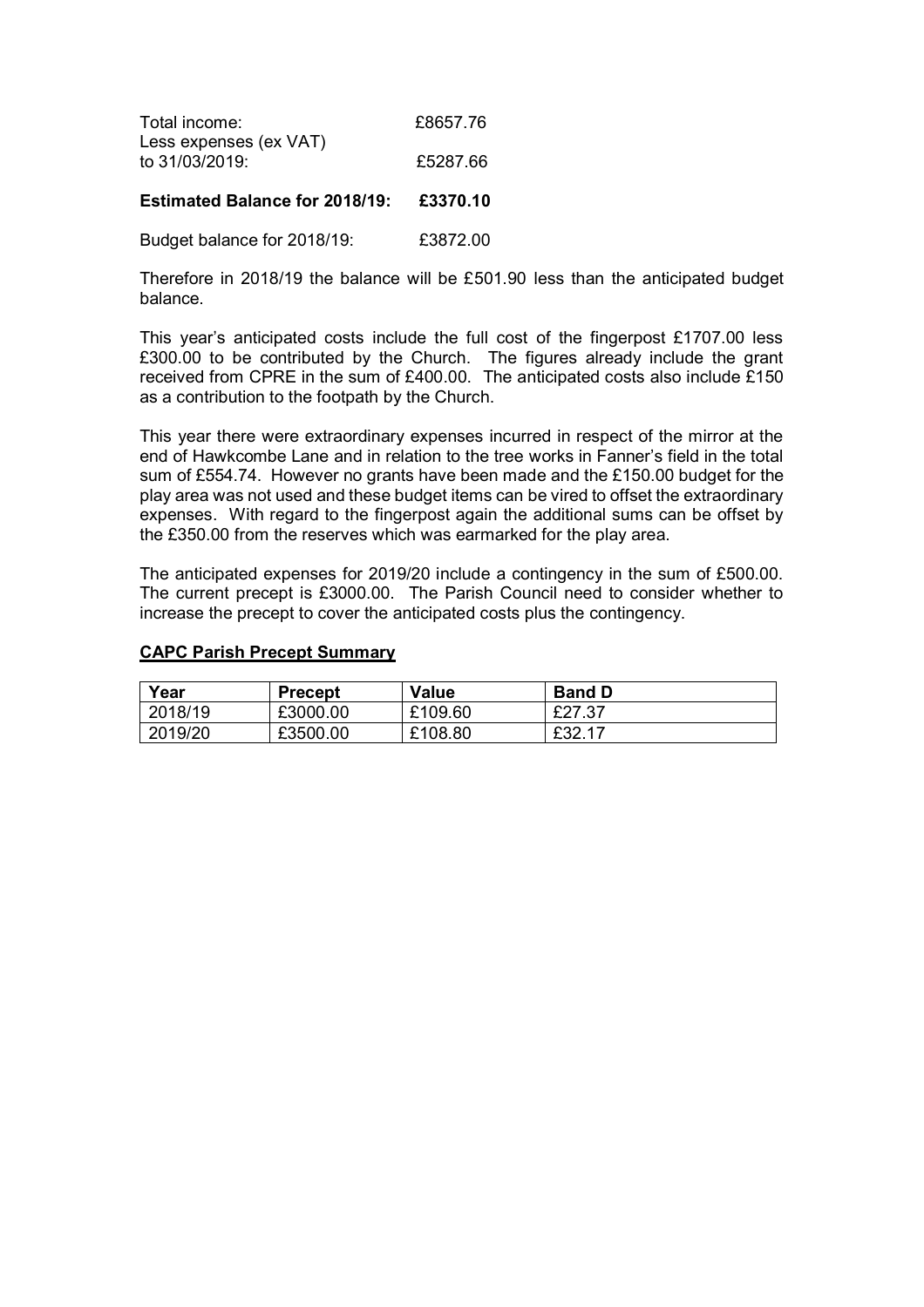| Total income:          | £8657.76 |
|------------------------|----------|
| Less expenses (ex VAT) |          |
| to 31/03/2019:         | £5287.66 |
|                        |          |

**Estimated Balance for 2018/19: £3370.10**

Budget balance for 2018/19: £3872.00

Therefore in 2018/19 the balance will be £501.90 less than the anticipated budget balance.

This year's anticipated costs include the full cost of the fingerpost £1707.00 less £300.00 to be contributed by the Church. The figures already include the grant received from CPRE in the sum of £400.00. The anticipated costs also include £150 as a contribution to the footpath by the Church.

This year there were extraordinary expenses incurred in respect of the mirror at the end of Hawkcombe Lane and in relation to the tree works in Fanner's field in the total sum of £554.74. However no grants have been made and the £150.00 budget for the play area was not used and these budget items can be vired to offset the extraordinary expenses. With regard to the fingerpost again the additional sums can be offset by the £350.00 from the reserves which was earmarked for the play area.

The anticipated expenses for 2019/20 include a contingency in the sum of £500.00. The current precept is £3000.00. The Parish Council need to consider whether to increase the precept to cover the anticipated costs plus the contingency.

#### **CAPC Parish Precept Summary**

| Year    | <b>Precept</b> | <b>Value</b> | <b>Band D</b> |
|---------|----------------|--------------|---------------|
| 2018/19 | £3000.00       | £109.60      | £27.37        |
| 2019/20 | £3500.00       | £108.80      | £32.17        |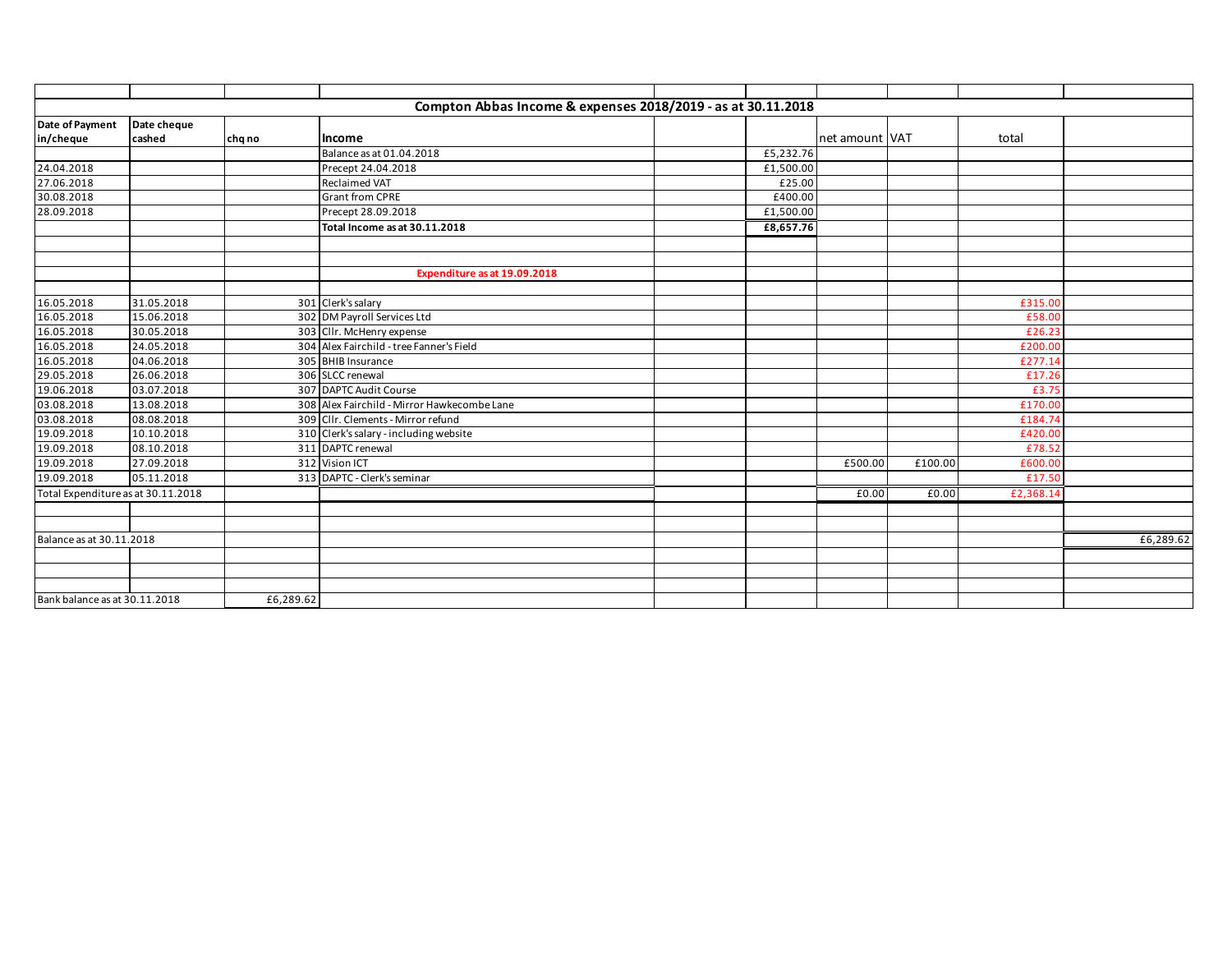|                                    |             |           | Compton Abbas Income & expenses 2018/2019 - as at 30.11.2018 |           |                |         |           |           |
|------------------------------------|-------------|-----------|--------------------------------------------------------------|-----------|----------------|---------|-----------|-----------|
| Date of Payment                    | Date cheque |           |                                                              |           |                |         |           |           |
| in/cheque                          | cashed      | chq no    | Income                                                       |           | net amount VAT |         | total     |           |
|                                    |             |           | Balance as at 01.04.2018                                     | £5,232.76 |                |         |           |           |
| 24.04.2018                         |             |           | Precept 24.04.2018                                           | £1,500.00 |                |         |           |           |
| 27.06.2018                         |             |           | <b>Reclaimed VAT</b>                                         | £25.00    |                |         |           |           |
| 30.08.2018                         |             |           | <b>Grant from CPRE</b>                                       | £400.00   |                |         |           |           |
| 28.09.2018                         |             |           | Precept 28.09.2018                                           | £1,500.00 |                |         |           |           |
|                                    |             |           | Total Income as at 30.11.2018                                | £8,657.76 |                |         |           |           |
|                                    |             |           |                                                              |           |                |         |           |           |
|                                    |             |           |                                                              |           |                |         |           |           |
|                                    |             |           | Expenditure as at 19.09.2018                                 |           |                |         |           |           |
|                                    |             |           |                                                              |           |                |         |           |           |
| 16.05.2018                         | 31.05.2018  |           | 301 Clerk's salary                                           |           |                |         | £315.00   |           |
| 16.05.2018                         | 15.06.2018  |           | 302 DM Payroll Services Ltd                                  |           |                |         | £58.00    |           |
| 16.05.2018                         | 30.05.2018  |           | 303 Cllr. McHenry expense                                    |           |                |         | £26.23    |           |
| 16.05.2018                         | 24.05.2018  |           | 304 Alex Fairchild - tree Fanner's Field                     |           |                |         | £200.00   |           |
| 16.05.2018                         | 04.06.2018  |           | 305 BHIB Insurance                                           |           |                |         | £277.14   |           |
| 29.05.2018                         | 26.06.2018  |           | 306 SLCC renewal                                             |           |                |         | £17.26    |           |
| 19.06.2018                         | 03.07.2018  |           | 307 DAPTC Audit Course                                       |           |                |         | £3.75     |           |
| 03.08.2018                         | 13.08.2018  |           | 308 Alex Fairchild - Mirror Hawkecombe Lane                  |           |                |         | £170.00   |           |
| 03.08.2018                         | 08.08.2018  |           | 309 Cllr. Clements - Mirror refund                           |           |                |         | £184.74   |           |
| 19.09.2018                         | 10.10.2018  |           | 310 Clerk's salary - including website                       |           |                |         | £420.00   |           |
| 19.09.2018                         | 08.10.2018  |           | 311 DAPTC renewal                                            |           |                |         | £78.52    |           |
| 19.09.2018                         | 27.09.2018  |           | 312 Vision ICT                                               |           | £500.00        | £100.00 | £600.00   |           |
| 19.09.2018                         | 05.11.2018  |           | 313 DAPTC - Clerk's seminar                                  |           |                |         | £17.50    |           |
| Total Expenditure as at 30.11.2018 |             |           |                                                              |           | £0.00          | f0.00   | £2,368.14 |           |
|                                    |             |           |                                                              |           |                |         |           |           |
|                                    |             |           |                                                              |           |                |         |           |           |
| Balance as at 30.11.2018           |             |           |                                                              |           |                |         |           | £6,289.62 |
|                                    |             |           |                                                              |           |                |         |           |           |
|                                    |             |           |                                                              |           |                |         |           |           |
|                                    |             |           |                                                              |           |                |         |           |           |
| Bank balance as at 30.11.2018      |             | £6,289.62 |                                                              |           |                |         |           |           |